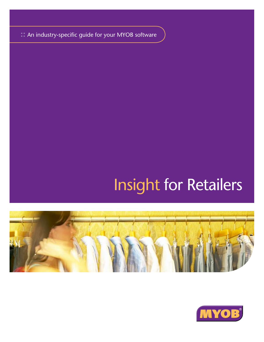**::** An industry-specific guide for your MYOB software

# Insight for Retailers



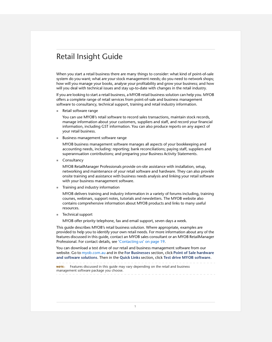# Retail Insight Guide

When you start a retail business there are many things to consider: what kind of point-of-sale system do you want; what are your stock management needs; do you need to network shops; how will you manage your books, analyse your profitability and grow your business; and how will you deal with technical issues and stay up-to-date with changes in the retail industry.

If you are looking to start a retail business, a MYOB retail business solution can help you. MYOB offers a complete range of retail services from point-of-sale and business management software to consultancy, technical support, training and retail industry information.

■ Retail software range

You can use MYOB's retail software to record sales transactions, maintain stock records, manage information about your customers, suppliers and staff, and record your financial information, including GST information. You can also produce reports on any aspect of your retail business.

**Business management software range** 

MYOB business management software manages all aspects of your bookkeeping and accounting needs, including: reporting; bank reconciliations; paying staff, suppliers and superannuation contributions; and preparing your Business Activity Statements.

■ Consultancy

MYOB RetailManager Professionals provide on-site assistance with installation, setup, networking and maintenance of your retail software and hardware. They can also provide onsite training and assistance with business needs analysis and linking your retail software with your business management software.

**Training and industry information** 

MYOB delivers training and industry information in a variety of forums including, training courses, webinars, support notes, tutorials and newsletters. The MYOB website also contains comprehensive information about MYOB products and links to many useful resources.

■ Technical support

MYOB offer priority telephone, fax and email support, seven days a week.

This guide describes MYOB's retail business solution. Where appropriate, examples are provided to help you to identify your own retail needs. For more information about any of the features discussed in this guide, contact an MYOB sales consultant or an MYOB RetailManager Professional. For contact details, see ['Contacting us' on page 19.](#page-19-0)

You can download a test drive of our retail and business management software from our website. Go to [myob.com.au](http://www.myob.com.au) and in the **For Businesses** section, click **Point of Sale hardware and software solutions**. Then in the **Quick Links** section, click **Test drive MYOB software**.

**NOTE:** Features discussed in this quide may vary depending on the retail and business management software package you choose.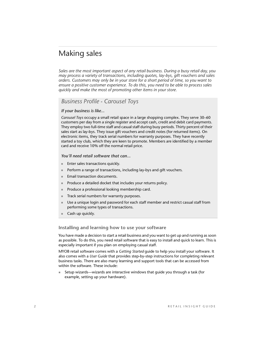### Making sales

*Sales are the most important aspect of any retail business. During a busy retail day, you may process a variety of transactions, including quotes, lay-bys, gift vouchers and sales orders. Customers may only be in your store for a short period of time, so you want to ensure a positive customer experience. To do this, you need to be able to process sales quickly and make the most of promoting other items in your store.* 

### *Business Profile - Carousel Toys*

#### *If your business is like...*

*Carousel Toys* occupy a small retail space in a large shopping complex. They serve 30–60 customers per day from a single register and accept cash, credit and debit card payments. They employ two full-time staff and casual staff during busy periods. Thirty percent of their sales start as lay-bys. They issue gift vouchers and credit notes (for returned items). On electronic items, they track serial numbers for warranty purposes. They have recently started a toy club, which they are keen to promote. Members are identified by a member card and receive 10% off the normal retail price.

#### *You'll need retail software that can...*

- **Enter sales transactions quickly.**
- **Perform a range of transactions, including lay-bys and gift vouchers.**
- **Email transaction documents.**
- **Produce a detailed docket that includes your returns policy.**
- **Produce a professional looking membership card.**
- Track serial numbers for warranty purposes.
- Use a unique login and password for each staff member and restrict casual staff from performing some types of transactions.
- Cash up quickly.

#### <span id="page-2-0"></span>**Installing and learning how to use your software**

You have made a decision to start a retail business and you want to get up and running as soon as possible. To do this, you need retail software that is easy to install and quick to learn. This is especially important if you plan on employing casual staff.

MYOB retail software comes with a *Getting Started* guide to help you install your software. It also comes with a *User Guide* that provides step-by-step instructions for completing relevant business tasks. There are also many learning and support tools that can be accessed from within the software. These include:

 Setup wizards—wizards are interactive windows that guide you through a task (for example, setting up your hardware).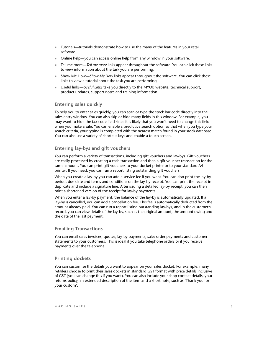- Tutorials—tutorials demonstrate how to use the many of the features in your retail software.
- Online help—you can access online help from any window in your software.
- Tell me more—*Tell me more* links appear throughout the software. You can click these links to view information about the task you are performing.
- Show Me How—*Show Me How* links appear throughout the software. You can click these links to view a tutorial about the task you are performing.
- Useful links—*Useful Links* take you directly to the MYOB website, technical support, product updates, support notes and training information.

#### **Entering sales quickly**

To help you to enter sales quickly, you can scan or type the stock bar code directly into the sales entry window. You can also skip or hide many fields in this window. For example, you may want to hide the tax code field since it is likely that you won't need to change this field when you make a sale. You can enable a predictive search option so that when you type your search criteria, your typing is completed with the nearest match found in your stock database. You can also use a variety of shortcut keys and enable a touch screen.

#### **Entering lay-bys and gift vouchers**

You can perform a variety of transactions, including gift vouchers and lay-bys. Gift vouchers are easily processed by creating a cash transaction and then a gift voucher transaction for the same amount. You can print gift vouchers to your docket printer or to your standard A4 printer. If you need, you can run a report listing outstanding gift vouchers.

When you create a lay-by you can add a service fee if you want. You can also print the lay-by period, due date and terms and conditions on the lay-by receipt. You can print the receipt in duplicate and include a signature line. After issuing a detailed lay-by receipt, you can then print a shortened version of the receipt for lay-by payments.

When you enter a lay-by payment, the balance of the lay-by is automatically updated. If a lay-by is cancelled, you can add a cancellation fee. This fee is automatically deducted from the amount already paid. You can run a report listing outstanding lay-bys, and in the customer's record, you can view details of the lay-by, such as the original amount, the amount owing and the date of the last payment.

#### **Emailing Transactions**

You can email sales invoices, quotes, lay-by payments, sales order payments and customer statements to your customers. This is ideal if you take telephone orders or if you receive payments over the telephone.

#### **Printing dockets**

You can customise the details you want to appear on your sales docket. For example, many retailers choose to print their sales dockets in standard GST format with price details inclusive of GST (you can change this if you want). You can also include your shop contact details, your returns policy, an extended description of the item and a short note, such as 'Thank you for your custom'.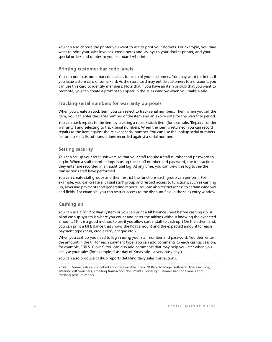You can also choose the printer you want to use to print your dockets. For example, you may want to print your sales invoices, credit notes and lay-bys to your docket printer, and your special orders and quotes to your standard A4 printer.

#### **Printing customer bar code labels**

You can print customer bar code labels for each of your customers. You may want to do this if you issue a store card of some kind. As the store card may entitle customers to a discount, you can use this card to identify members. Note that if you have an item or club that you want to promote, you can create a prompt to appear in the sales window when you make a sale.

#### **Tracking serial numbers for warranty purposes**

When you create a stock item, you can select to track serial numbers. Then, when you sell the item, you can enter the serial number of the item and an expiry date for the warranty period.

You can track repairs to the item by creating a repairs stock item (for example, 'Repairs - under warranty') and selecting to track serial numbers. When the item is returned, you can record repairs to the item against the relevant serial number. You can use the lookup serial numbers feature to see a list of transactions recorded against a serial number.

#### **Setting security**

You can set up your retail software so that your staff require a staff number and password to log in. When a staff member logs in using their staff number and password, the transactions they enter are recorded in an audit trail log. At any time, you can view this log to see the transactions staff have performed.

You can create staff groups and then restrict the functions each group can perform. For example, you can create a 'casual staff' group and restrict access to functions, such as cashing up, reversing payments and generating reports. You can also restrict access to certain windows and fields. For example, you can restrict access to the discount field in the sales entry window.

#### **Cashing up**

You can use a *blind cashup* system or you can print a till balance sheet before cashing up. A blind cashup system is where you count and enter the takings without knowing the expected amount. (This is a good method to use if you allow casual staff to cash up.) On the other hand, you can print a till balance that shows the float amount and the expected amount for each payment type (cash, credit card, cheque etc.).

When you cashup you need to log in using your staff number and password. You then enter the amount in the till for each payment type. You can add comments to each cashup session, for example, 'Till \$10 over'. You can also add comments that may help you later when you analyse your sales (for example, 'Last day of Xmas sale - a very busy day').

You can also produce cashup reports detailing daily sales transactions.

**NOTE :** Some features described are only available in MYOB RetailManager software. These include, entering gift vouchers, emailing transaction documents, printing customer bar code labels and tracking serial numbers.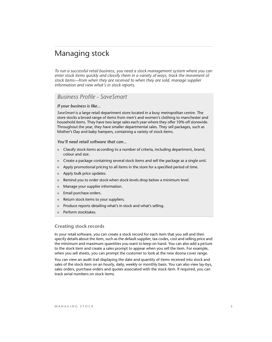### Managing stock

*To run a successful retail business, you need a stock management system where you can enter stock items quickly and classify them in a variety of ways, track the movement of stock items—from when they are received to when they are sold, manage supplier information and view what's in stock reports.* 

### *Business Profile - SaveSmart*

#### *If your business is like...*

*SaveSmart* is a large retail department store located in a busy metropolitan centre. The store stocks a broad range of items from men's and women's clothing to manchester and household items. They have two large sales each year where they offer 10% off storewide. Throughout the year, they have smaller departmental sales. They sell packages, such as Mother's Day and baby hampers, containing a variety of stock items.

#### *You'll need retail software that can...*

- Classify stock items according to a number of criteria, including department, brand, colour and size.
- Create a package containing several stock items and sell the package as a single unit.
- Apply promotional pricing to all items in the store for a specified period of time.
- Apply bulk price updates.
- Remind you to order stock when stock levels drop below a minimum level.
- **Manage your supplier information.**
- Email purchase orders.
- Return stock items to your suppliers.
- Produce reports detailing what's in stock and what's selling.
- Perform stocktakes.

#### **Creating stock records**

In your retail software, you can create a stock record for each item that you sell and then specify details about the item, such as the default supplier, tax codes, cost and selling price and the minimum and maximum quantities you want to keep on hand. You can also add a picture to the stock item and create a sales prompt to appear when you sell the item. For example, when you sell sheets, you can prompt the customer to look at the new doona cover range.

You can view an audit trail displaying the date and quantity of items received into stock and sales of the stock item on an hourly, daily, weekly or monthly basis. You can also view lay-bys, sales orders, purchase orders and quotes associated with the stock item. If required, you can track serial numbers on stock items.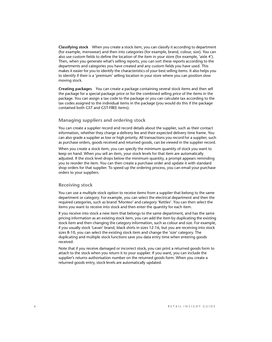**Classifying stock** When you create a stock item, you can classify it according to department (for example, menswear) and then into categories (for example, brand, colour, size). You can also use custom fields to define the location of the item in your store (for example, 'aisle 4'). Then, when you generate what's selling reports, you can sort these reports according to the departments and categories you have created and any custom fields you have used. This makes it easier for you to identify the characteristics of your best selling items. It also helps you to identify if their is a 'premium' selling location in your store where you can position slow moving stock.

**Creating packages** You can create a package containing several stock items and then sell the package for a special package price or for the combined selling price of the items in the package. You can assign a tax code to the package or you can calculate tax according to the tax codes assigned to the individual items in the package (you would do this if the package contained both GST and GST-FREE items).

#### **Managing suppliers and ordering stock**

You can create a supplier record and record details about the supplier, such as their contact information, whether they charge a delivery fee and their expected delivery time frame. You can also grade a supplier as low or high priority. All transactions you record for a supplier, such as purchase orders, goods received and returned goods, can be viewed in the supplier record.

When you create a stock item, you can specify the minimum quantity of stock you want to keep on hand. When you sell an item, your stock levels for that item are automatically adjusted. If the stock level drops below the minimum quantity, a prompt appears reminding you to reorder the item. You can then create a purchase order and update it with standard shop orders for that supplier. To speed up the ordering process, you can email your purchase orders to your suppliers.

#### **Receiving stock**

You can use a multiple stock option to receive items from a supplier that belong to the same department or category. For example, you can select the electrical department and then the required categories, such as brand 'Monteo' and category 'Kettles'. You can then select the items you want to receive into stock and then enter the quantity for each item.

If you receive into stock a new item that belongs to the same department, and has the same pricing information as an existing stock item, you can add the item by duplicating the existing stock item and then changing the category information, such as colour and size. For example, if you usually stock 'Lavan' brand, black shirts in sizes 12-16, but you are receiving into stock sizes 8-10, you can select the existing stock item and change the 'size' category. The duplicating and multiple stock functions save you data entry time when entering goods received.

Note that if you receive damaged or incorrect stock, you can print a returned goods form to attach to the stock when you return it to your supplier. If you want, you can include the supplier's returns authorisation number on the returned goods form. When you create a returned goods entry, stock levels are automatically updated.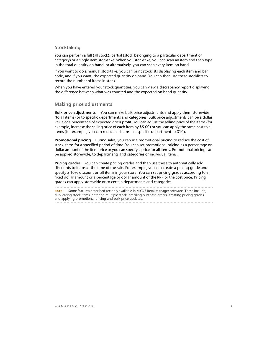#### **Stocktaking**

You can perform a full (all stock), partial (stock belonging to a particular department or category) or a single item stocktake. When you stocktake, you can scan an item and then type in the total quantity on hand, or alternatively, you can scan every item on hand.

If you want to do a manual stocktake, you can print stocklists displaying each item and bar code, and if you want, the expected quantity on hand. You can then use these stocklists to record the number of items in stock.

When you have entered your stock quantities, you can view a discrepancy report displaying the difference between what was counted and the expected on hand quantity.

#### **Making price adjustments**

**Bulk price adjustments** You can make bulk price adjustments and apply them storewide (to all items) or to specific departments and categories. Bulk price adjustments can be a dollar value or a percentage of expected gross profit. You can adjust the selling price of the items (for example, increase the selling price of each item by \$5.00) or you can apply the same cost to all items (for example, you can reduce all items in a specific department to \$10).

**Promotional pricing** During sales, you can use promotional pricing to reduce the cost of stock items for a specified period of time. You can set promotional pricing as a percentage or dollar amount of the item price or you can specify a price for all items. Promotional pricing can be applied storewide, to departments and categories or individual items.

**Pricing grades** You can create pricing grades and then use these to automatically add discounts to items at the time of the sale. For example, you can create a pricing grade and specify a 10% discount on all items in your store. You can set pricing grades according to a fixed dollar amount or a percentage or dollar amount of the RRP or the cost price. Pricing grades can apply storewide or to certain departments and categories.

**NOTE:** Some features described are only available in MYOB RetailManager software. These include, duplicating stock items, entering multiple stock, emailing purchase orders, creating pricing grades and applying promotional pricing and bulk price updates.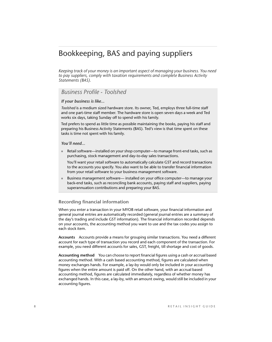# Bookkeeping, BAS and paying suppliers

*Keeping track of your money is an important aspect of managing your business. You need to pay suppliers, comply with taxation requirements and complete Business Activity Statements (BAS).*

### *Business Profile - Toolshed*

#### *If your business is like...*

*Toolshed* is a medium sized hardware store. Its owner, Ted, employs three full-time staff and one part-time staff member. The hardware store is open seven days a week and Ted works six days, taking Sunday off to spend with his family.

Ted prefers to spend as little time as possible maintaining the books, paying his staff and preparing his Business Activity Statements (BAS). Ted's view is that time spent on these tasks is time not spent with his family.

#### *You'll need...*

■ Retail software—installed on your shop computer—to manage front-end tasks, such as purchasing, stock management and day-to-day sales transactions.

You'll want your retail software to automatically calculate GST and record transactions to the accounts you specify. You also want to be able to transfer financial information from your retail software to your business management software.

 Business management software— installed on your office computer—to manage your back-end tasks, such as reconciling bank accounts, paying staff and suppliers, paying superannuation contributions and preparing your BAS.

#### **Recording financial information**

When you enter a transaction in your MYOB retail software, your financial information and general journal entries are automatically recorded (general journal entries are a summary of the day's trading and include GST information). The financial information recorded depends on your accounts, the accounting method you want to use and the tax codes you assign to each stock item.

**Accounts** Accounts provide a means for grouping similar transactions. You need a different account for each type of transaction you record and each component of the transaction. For example, you need different accounts for sales, GST, freight, till shortage and cost of goods.

**Accounting method** You can choose to report financial figures using a cash or accrual based accounting method. With a cash based accounting method, figures are calculated when money exchanges hands. For example, a lay-by would only be included in your accounting figures when the entire amount is paid off. On the other hand, with an accrual based accounting method, figures are calculated immediately, regardless of whether money has exchanged hands. In this case, a lay-by, with an amount owing, would still be included in your accounting figures.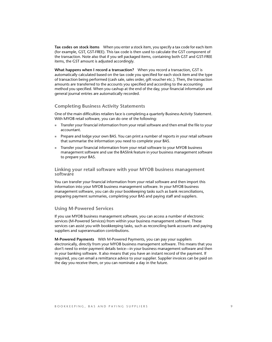**Tax codes on stock items** When you enter a stock item, you specify a tax code for each item (for example, GST, GST-FREE). This tax code is then used to calculate the GST component of the transaction. Note also that if you sell packaged items, containing both GST and GST-FREE items, the GST amount is adjusted accordingly.

**What happens when I record a transaction?** When you record a transaction, GST is automatically calculated based on the tax code you specified for each stock item and the type of transaction being performed (cash sale, sales order, gift voucher etc.). Then, the transaction amounts are transferred to the accounts you specified and according to the accounting method you specified. When you cashup at the end of the day, your financial information and general journal entries are automatically recorded.

#### **Completing Business Activity Statements**

One of the main difficulties retailers face is completing a quarterly Business Activity Statement. With MYOB retail software, you can do one of the following:

- Transfer your financial information from your retail software and then email the file to your accountant.
- Prepare and lodge your own BAS. You can print a number of reports in your retail software that summarise the information you need to complete your BAS.
- Transfer your financial information from your retail software to your MYOB business management software and use the BASlink feature in your business management software to prepare your BAS.

#### **Linking your retail software with your MYOB business management software**

You can transfer your financial information from your retail software and then import this information into your MYOB business management software. In your MYOB business management software, you can do your bookkeeping tasks such as bank reconciliations, preparing payment summaries, completing your BAS and paying staff and suppliers.

#### <span id="page-9-0"></span>**Using M-Powered Services**

If you use MYOB business management software, you can access a number of electronic services (M-Powered Services) from within your business management software. These services can assist you with bookkeeping tasks, such as reconciling bank accounts and paying suppliers and superannuation contributions.

**M-Powered Payments** With M-Powered Payments, you can pay your suppliers electronically, directly from your MYOB business management software. This means that you don't need to enter payment details twice—in your business management software and then in your banking software. It also means that you have an instant record of the payment. If required, you can email a remittance advice to your supplier. Supplier invoices can be paid on the day you receive them, or you can nominate a day in the future.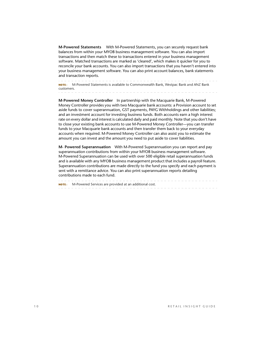**M-Powered Statements** With M-Powered Statements, you can securely request bank balances from within your MYOB business management software. You can also import transactions and then match these to transactions entered in your business management software. Matched transactions are marked as 'cleared', which makes it quicker for you to reconcile your bank accounts. You can also import transactions that you haven't entered into your business management software. You can also print account balances, bank statements and transaction reports.

**NOTE :** M-Powered Statements is available to Commonwealth Bank, Westpac Bank and ANZ Bank customers.

**M-Powered Money Controller** In partnership with the Macquarie Bank, M-Powered Money Controller provides you with two Macquarie bank accounts: a Provision account to set aside funds to cover superannuation, GST payments, PAYG Withholdings and other liabilities; and an investment account for investing business funds. Both accounts earn a high interest rate on every dollar and interest is calculated daily and paid monthly. Note that you don't have to close your existing bank accounts to use M-Powered Money Controller—you can transfer funds to your Macquarie bank accounts and then transfer them back to your everyday accounts when required. M-Powered Money Controller can also assist you to estimate the amount you can invest and the amount you need to put aside to cover liabilities.

**M- Powered Superannuation** With M-Powered Superannuation you can report and pay superannuation contributions from within your MYOB business management software. M-Powered Superannuation can be used with over 500 eligible retail superannuation funds and is available with any MYOB business management product that includes a payroll feature. Superannuation contributions are made directly to the fund you specify and each payment is sent with a remittance advice. You can also print superannuation reports detailing contributions made to each fund.

**NOTE :** M-Powered Services are provided at an additional cost.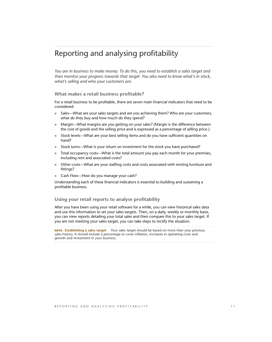# Reporting and analysing profitability

*You are in business to make money. To do this, you need to establish a sales target and then monitor your progress towards that target. You also need to know what's in stock, what's selling and who your customers are.* 

#### **What makes a retail business profitable?**

For a retail business to be profitable, there are seven main financial indicators that need to be considered:

- Sales—What are your sales targets and are you achieving them? Who are your customers, what do they buy and how much do they spend?
- **Margin—What margins are you getting on your sales? (Margin is the difference between** the cost of goods and the selling price and is expressed as a percentage of selling price.)
- Stock levels—What are your best selling items and do you have sufficient quantities on hand?
- Stock turns—What is your return on investment for the stock you have purchased?
- Total occupancy costs—What is the total amount you pay each month for your premises, including rent and associated costs?
- Other costs—What are your staffing costs and costs associated with renting furniture and fittings?
- Cash Flow—How do you manage your cash?

Understanding each of these financial indicators is essential to building and sustaining a profitable business.

#### **Using your retail reports to analyse profitability**

After you have been using your retail software for a while, you can view historical sales data and use this information to set your sales targets. Then, on a daily, weekly or monthly basis, you can view reports detailing your total sales and then compare this to your sales target. If you are not meeting your sales target, you can take steps to rectify the situation.

**NOTE : Establishing a sales target** Your sales target should be based on more than your previous sales history. It should include a percentage to cover inflation, increases in operating costs and growth and investment in your business.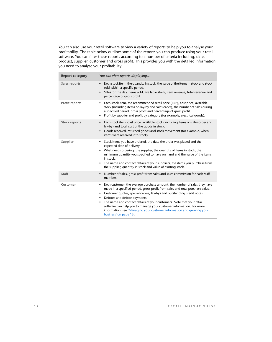You can also use your retail software to view a variety of reports to help you to analyse your profitability. The table below outlines some of the reports you can produce using your retail software. You can filter these reports according to a number of criteria including, date, product, supplier, customer and gross profit. This provides you with the detailed information you need to analyse your profitability.

| <b>Report category</b> | You can view reports displaying                                                                                                                                                                                                                                                                                                                                                                                                                                                                                                                            |
|------------------------|------------------------------------------------------------------------------------------------------------------------------------------------------------------------------------------------------------------------------------------------------------------------------------------------------------------------------------------------------------------------------------------------------------------------------------------------------------------------------------------------------------------------------------------------------------|
| Sales reports          | Each stock item, the quantity in stock, the value of the items in stock and stock<br>$\bullet$<br>sold within a specific period.<br>Sales for the day, items sold, available stock, item revenue, total revenue and<br>$\bullet$<br>percentage of gross profit.                                                                                                                                                                                                                                                                                            |
| Profit reports         | Each stock item, the recommended retail price (RRP), cost price, available<br>$\bullet$<br>stock (including items on lay-by and sales order), the number of sales during<br>a specified period, gross profit and percentage of gross profit.<br>Profit by supplier and profit by category (for example, electrical goods).<br>$\bullet$                                                                                                                                                                                                                    |
| Stock reports          | Each stock item, cost price, available stock (including items on sales order and<br>$\bullet$<br>lay-by) and total cost of the goods in stock.<br>Goods received, returned goods and stock movement (for example, when<br>$\bullet$<br>items were received into stock).                                                                                                                                                                                                                                                                                    |
| Supplier               | Stock items you have ordered, the date the order was placed and the<br>$\bullet$<br>expected date of delivery.<br>What needs ordering, the supplier, the quantity of items in stock, the<br>$\bullet$<br>minimum quantity you specified to have on hand and the value of the items<br>in stock.<br>The name and contact details of your suppliers, the items you purchase from<br>$\bullet$<br>the supplier, quantity in stock and value of existing stock.                                                                                                |
| <b>Staff</b>           | Number of sales, gross profit from sales and sales commission for each staff<br>$\bullet$<br>member.                                                                                                                                                                                                                                                                                                                                                                                                                                                       |
| Customer               | Each customer, the average purchase amount, the number of sales they have<br>$\bullet$<br>made in a specified period, gross profit from sales and total purchase value.<br>Customer quotes, special orders, lay-bys and outstanding credit notes.<br>٠<br>Debtors and debtor payments.<br>٠<br>The name and contact details of your customers. Note that your retail<br>$\bullet$<br>software can help you to manage your customer information. For more<br>information, see 'Managing your customer information and growing your<br>business' on page 13. |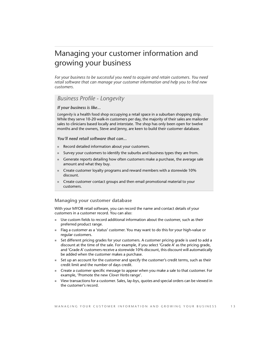# <span id="page-13-0"></span>Managing your customer information and growing your business

*For your business to be successful you need to acquire and retain customers. You need retail software that can manage your customer information and help you to find new customers.* 

### *Business Profile - Longevity*

*If your business is like...*

*Longevity* is a health food shop occupying a retail space in a suburban shopping strip. While they serve 10-20 walk-in customers per day, the majority of their sales are mailorder sales to clinicians based locally and interstate. The shop has only been open for twelve months and the owners, Steve and Jenny, are keen to build their customer database.

*You'll need retail software that can...*

- Record detailed information about your customers.
- Survey your customers to identify the suburbs and business types they are from.
- Generate reports detailing how often customers make a purchase, the average sale amount and what they buy.
- Create customer loyalty programs and reward members with a storewide 10% discount.
- Create customer contact groups and then email promotional material to your customers.

#### **Managing your customer database**

With your MYOB retail software, you can record the name and contact details of your customers in a customer record. You can also:

- Use custom fields to record additional information about the customer, such as their preferred product range.
- **Flag a customer as a 'status' customer. You may want to do this for your high-value or** regular customers.
- Set different pricing grades for your customers. A customer pricing grade is used to add a discount at the time of the sale. For example, if you select 'Grade A' as the pricing grade, and 'Grade A' customers receive a storewide 10% discount, this discount will automatically be added when the customer makes a purchase.
- Set up an account for the customer and specify the customer's credit terms, such as their credit limit and the number of days credit.
- Create a customer specific message to appear when you make a sale to that customer. For example, 'Promote the new *Clover Herbs* range'.
- View transactions for a customer. Sales, lay-bys, quotes and special orders can be viewed in the customer's record.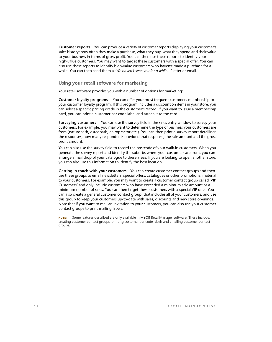**Customer reports** You can produce a variety of customer reports displaying your customer's sales history: how often they make a purchase, what they buy, what they spend and their value to your business in terms of gross profit. You can then use these reports to identify your high-value customers. You may want to target these customers with a special offer. You can also use these reports to identify high-value customers who haven't made a purchase for a while. You can then send them a *'We haven't seen you for a while...'* letter or email.

#### **Using your retail software for marketing**

Your retail software provides you with a number of options for marketing:

**Customer loyalty programs** You can offer your most frequent customers membership to your customer loyalty program. If this program includes a discount on items in your store, you can select a specific pricing grade in the customer's record. If you want to issue a membership card, you can print a customer bar code label and attach it to the card.

**Surveying customers** You can use the survey field in the sales entry window to survey your customers. For example, you may want to determine the type of business your customers are from (naturopath, osteopath, chiropractor etc.). You can then print a survey report detailing: the responses, how many respondents provided that response, the sale amount and the gross profit amount.

You can also use the survey field to record the postcode of your walk-in customers. When you generate the survey report and identify the suburbs where your customers are from, you can arrange a mail drop of your catalogue to these areas. If you are looking to open another store, you can also use this information to identify the best location.

**Getting in touch with your customers** You can create customer contact groups and then use these groups to email newsletters, special offers, catalogues or other promotional material to your customers. For example, you may want to create a customer contact group called 'VIP Customers' and only include customers who have exceeded a minimum sale amount or a minimum number of sales. You can then target these customers with a special VIP offer. You can also create a general customer contact group, that includes all of your customers, and use this group to keep your customers up-to-date with sales, discounts and new store openings. Note that if you want to mail an invitation to your customers, you can also use your customer contact groups to print mailing labels.

**NOTE :** Some features described are only available in MYOB RetailManager software. These include, creating customer contact groups, printing customer bar code labels and emailing customer contact groups.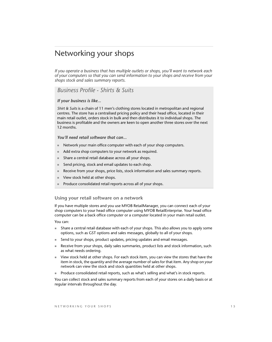### Networking your shops

*If you operate a business that has multiple outlets or shops, you'll want to network each of your computers so that you can send information to your shops and receive from your shops stock and sales summary reports.*

### *Business Profile - Shirts & Suits*

#### *If your business is like...*

*Shirt & Suits* is a chain of 11 men's clothing stores located in metropolitan and regional centres. The store has a centralised pricing policy and their head office, located in their main retail outlet, orders stock in bulk and then distributes it to individual shops. The business is profitable and the owners are keen to open another three stores over the next 12 months.

#### *You'll need retail software that can...*

- Network your main office computer with each of your shop computers.
- Add extra shop computers to your network as required.
- Share a central retail database across all your shops.
- Send pricing, stock and email updates to each shop.
- Receive from your shops, price lists, stock information and sales summary reports.
- View stock held at other shops.
- Produce consolidated retail reports across all of your shops.

#### **Using your retail software on a network**

If you have multiple stores and you use MYOB RetailManager, you can connect each of your shop computers to your head office computer using MYOB RetailEnterprise. Your head office computer can be a back office computer or a computer located in your main retail outlet.

You can:

- Share a central retail database with each of your shops. This also allows you to apply some options, such as GST options and sales messages, globally to all of your shops.
- Send to your shops, product updates, pricing updates and email messages.
- Receive from your shops, daily sales summaries, product lists and stock information, such as what needs ordering.
- View stock held at other shops. For each stock item, you can view the stores that have the item in stock, the quantity and the average number of sales for that item. Any shop on your network can view the stock and stock quantities held at other shops.
- **Produce consolidated retail reports, such as what's selling and what's in stock reports.**

You can collect stock and sales summary reports from each of your stores on a daily basis or at regular intervals throughout the day.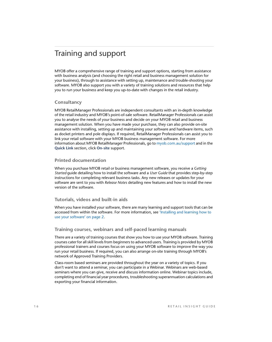## Training and support

MYOB offer a comprehensive range of training and support options, starting from assistance with business analysis (and choosing the right retail and business management solution for your business), through to assistance with setting up, maintenance and trouble-shooting your software. MYOB also support you with a variety of training solutions and resources that help you to run your business and keep you up-to-date with changes in the retail industry.

#### **Consultancy**

MYOB RetailManager Professionals are independent consultants with an in-depth knowledge of the retail industry and MYOB's point-of-sale software. RetailManager Professionals can assist you to analyse the needs of your business and decide on your MYOB retail and business management solution. When you have made your purchase, they can also provide on-site assistance with installing, setting up and maintaining your software and hardware items, such as docket printers and pole displays. If required, RetailManager Professionals can assist you to link your retail software with your MYOB business management software. For more information about MYOB RetailManager Professionals, go to [myob.com.au/support](http://www.myob.com.au/support) and in the **Quick Link** section, click **On-site** support.

#### **Printed documentation**

When you purchase MYOB retail or business management software, you receive a *Getting Started* guide detailing how to install the software and a *User Guide* that provides step-by-step instructions for completing relevant business tasks. Any new releases or updates for your software are sent to you with *Release Notes* detailing new features and how to install the new version of the software.

#### **Tutorials, videos and built-in aids**

When you have installed your software, there are many learning and support tools that can be accessed from within the software. For more information, see ['Installing and learning how to](#page-2-0)  [use your software' on page 2](#page-2-0).

#### **Training courses, webinars and self-paced learning manuals**

There are a variety of training courses that show you how to use your MYOB software. Training courses cater for all skill levels from beginners to advanced users. Training is provided by MYOB professional trainers and courses focus on using your MYOB software to improve the way you run your retail business. If required, you can also arrange on-site training through MYOB's network of Approved Training Providers.

Class-room based seminars are provided throughout the year on a variety of topics. If you don't want to attend a seminar, you can participate in a Webinar. Webinars are web-based seminars where you can give, receive and discuss information online. Webinar topics include, completing end of financial year procedures, troubleshooting superannuation calculations and exporting your financial information.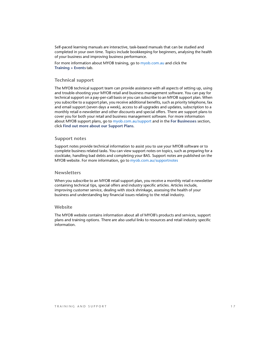Self-paced learning manuals are interactive, task-based manuals that can be studied and completed in your own time. Topics include bookkeeping for beginners, analysing the health of your business and improving business performance.

For more information about MYOB training, go to [myob.com.au](http://www.myob.com.au) and click the **Training + Events** tab.

#### **Technical support**

The MYOB technical support team can provide assistance with all aspects of setting up, using and trouble-shooting your MYOB retail and business management software. You can pay for technical support on a pay-per-call basis or you can subscribe to an MYOB support plan. When you subscribe to a support plan, you receive additional benefits, such as priority telephone, fax and email support (seven days a week), access to all upgrades and updates, subscription to a monthly retail e-newsletter and other discounts and special offers. There are support plans to cover you for both your retail and business management software. For more information about MYOB support plans, go to [myob.com.au/support](http://www.myob.com.au/support) and in the **For Businesses** section, click **Find out more about our Support Plans**.

#### **Support notes**

Support notes provide technical information to assist you to use your MYOB software or to complete business related tasks. You can view support notes on topics, such as preparing for a stocktake, handling bad debts and completing your BAS. Support notes are published on the MYOB website. For more information, go to [myob.com.au/supportnotes](http://www.myob.com.au/supportnotes)

#### **Newsletters**

When you subscribe to an MYOB retail support plan, you receive a monthly retail e-newsletter containing technical tips, special offers and industry specific articles. Articles include, improving customer service, dealing with stock shrinkage, assessing the health of your business and understanding key financial issues relating to the retail industry.

#### **Website**

The MYOB website contains information about all of MYOB's products and services, support plans and training options. There are also useful links to resources and retail industry specific information.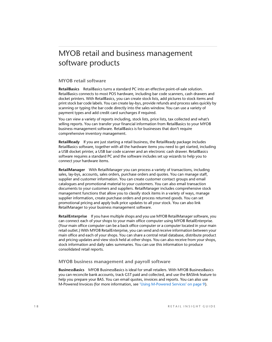# MYOB retail and business management software products

#### **MYOB retail software**

**RetailBasics** RetailBasics turns a standard PC into an effective point-of-sale solution. RetailBasics connects to most POS hardware, including bar code scanners, cash drawers and docket printers. With RetailBasics, you can create stock lists, add pictures to stock items and print stock bar code labels. You can create lay-bys, provide refunds and process sales quickly by scanning or typing the bar code directly into the sales window. You can use a variety of payment types and add credit card surcharges if required.

You can view a variety of reports including, stock lists, price lists, tax collected and what's selling reports. You can transfer your financial information from RetailBasics to your MYOB business management software. RetailBasics is for businesses that don't require comprehensive inventory management.

**RetailReady** If you are just starting a retail business, the RetailReady package includes RetailBasics software, together with all the hardware items you need to get started, including a USB docket printer, a USB bar code scanner and an electronic cash drawer. RetailBasics software requires a standard PC and the software includes set up wizards to help you to connect your hardware items.

**RetailManager** With RetailManager you can process a variety of transactions, including sales, lay-bys, accounts, sales orders, purchase orders and quotes. You can manage staff, supplier and customer information. You can create customer contact groups and email catalogues and promotional material to your customers. You can also email transaction documents to your customers and suppliers. RetailManager includes comprehensive stock management functions that allow you to classify stock items in a variety of ways, manage supplier information, create purchase orders and process returned goods. You can set promotional pricing and apply bulk price updates to all your stock. You can also link RetailManager to your business management software.

**RetailEnterprise** If you have multiple shops and you use MYOB RetailManager software, you can connect each of your shops to your main office computer using MYOB RetailEnterprise. (Your main office computer can be a back office computer or a computer located in your main retail outlet.) With MYOB RetailEnterprise, you can send and receive information between your main office and each of your shops. You can share a central retail database, distribute product and pricing updates and view stock held at other shops. You can also receive from your shops, stock information and daily sales summaries. You can use this information to produce consolidated retail reports.

#### **MYOB business management and payroll software**

**BusinessBasics** MYOB BusinessBasics is ideal for small retailers. With MYOB BusinessBasics you can reconcile bank accounts, track GST paid and collected, and use the BASlink feature to help you prepare your BAS. You can email quotes, invoices and reports. You can also use M-Powered Invoices (for more information, see ['Using M-Powered Services' on page 9](#page-9-0)).